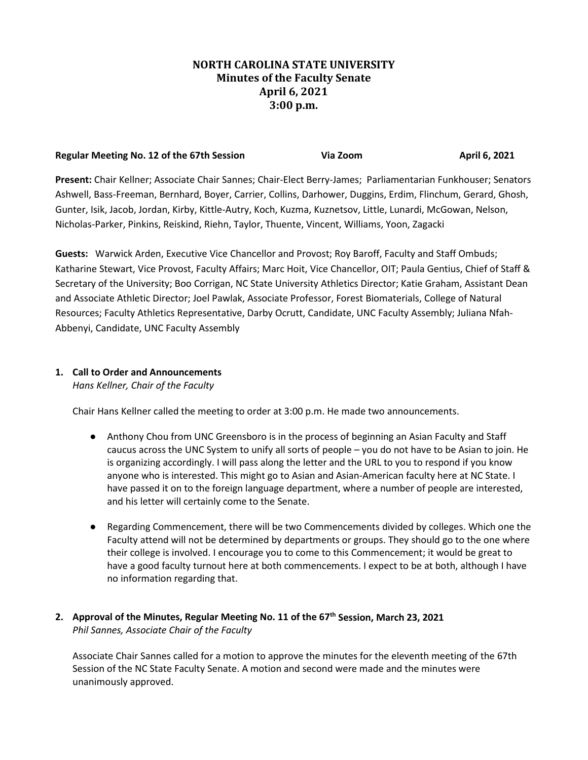## **NORTH CAROLINA STATE UNIVERSITY Minutes of the Faculty Senate April 6, 2021 3:00 p.m.**

| Regular Meeting No. 12 of the 67th Session | Via Zoom | April 6, 2021 |
|--------------------------------------------|----------|---------------|
|--------------------------------------------|----------|---------------|

**Present:** Chair Kellner; Associate Chair Sannes; Chair-Elect Berry-James; Parliamentarian Funkhouser; Senators Ashwell, Bass-Freeman, Bernhard, Boyer, Carrier, Collins, Darhower, Duggins, Erdim, Flinchum, Gerard, Ghosh, Gunter, Isik, Jacob, Jordan, Kirby, Kittle-Autry, Koch, Kuzma, Kuznetsov, Little, Lunardi, McGowan, Nelson, Nicholas-Parker, Pinkins, Reiskind, Riehn, Taylor, Thuente, Vincent, Williams, Yoon, Zagacki

**Guests:** Warwick Arden, Executive Vice Chancellor and Provost; Roy Baroff, Faculty and Staff Ombuds; Katharine Stewart, Vice Provost, Faculty Affairs; Marc Hoit, Vice Chancellor, OIT; Paula Gentius, Chief of Staff & Secretary of the University; Boo Corrigan, NC State University Athletics Director; Katie Graham, Assistant Dean and Associate Athletic Director; Joel Pawlak, Associate Professor, Forest Biomaterials, College of Natural Resources; Faculty Athletics Representative, Darby Ocrutt, Candidate, UNC Faculty Assembly; Juliana Nfah-Abbenyi, Candidate, UNC Faculty Assembly

## **1. Call to Order and Announcements**

*Hans Kellner, Chair of the Faculty*

Chair Hans Kellner called the meeting to order at 3:00 p.m. He made two announcements.

- Anthony Chou from UNC Greensboro is in the process of beginning an Asian Faculty and Staff caucus across the UNC System to unify all sorts of people – you do not have to be Asian to join. He is organizing accordingly. I will pass along the letter and the URL to you to respond if you know anyone who is interested. This might go to Asian and Asian-American faculty here at NC State. I have passed it on to the foreign language department, where a number of people are interested, and his letter will certainly come to the Senate.
- Regarding Commencement, there will be two Commencements divided by colleges. Which one the Faculty attend will not be determined by departments or groups. They should go to the one where their college is involved. I encourage you to come to this Commencement; it would be great to have a good faculty turnout here at both commencements. I expect to be at both, although I have no information regarding that.

## **2. Approval of the Minutes, Regular Meeting No. 11 of the 67th Session, March 23, 2021** *Phil Sannes, Associate Chair of the Faculty*

Associate Chair Sannes called for a motion to approve the minutes for the eleventh meeting of the 67th Session of the NC State Faculty Senate. A motion and second were made and the minutes were unanimously approved.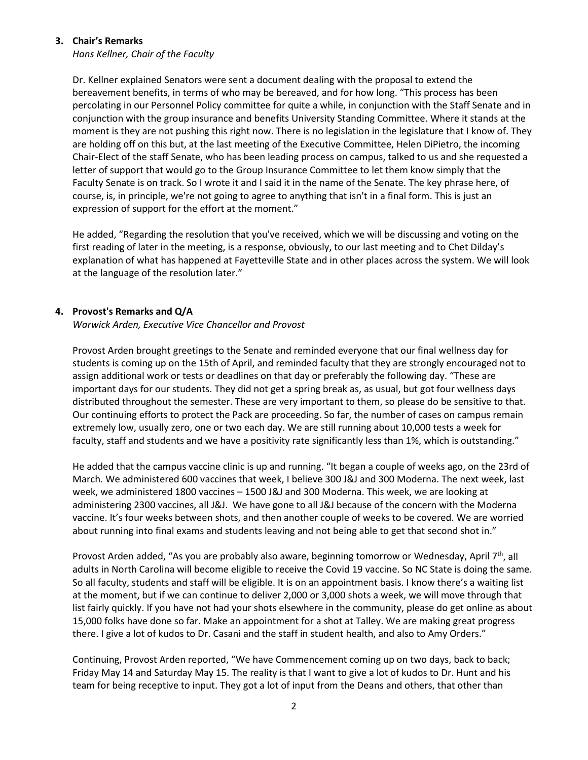### **3. Chair's Remarks**

*Hans Kellner, Chair of the Faculty*

Dr. Kellner explained Senators were sent a document dealing with the proposal to extend the bereavement benefits, in terms of who may be bereaved, and for how long. "This process has been percolating in our Personnel Policy committee for quite a while, in conjunction with the Staff Senate and in conjunction with the group insurance and benefits University Standing Committee. Where it stands at the moment is they are not pushing this right now. There is no legislation in the legislature that I know of. They are holding off on this but, at the last meeting of the Executive Committee, Helen DiPietro, the incoming Chair-Elect of the staff Senate, who has been leading process on campus, talked to us and she requested a letter of support that would go to the Group Insurance Committee to let them know simply that the Faculty Senate is on track. So I wrote it and I said it in the name of the Senate. The key phrase here, of course, is, in principle, we're not going to agree to anything that isn't in a final form. This is just an expression of support for the effort at the moment."

He added, "Regarding the resolution that you've received, which we will be discussing and voting on the first reading of later in the meeting, is a response, obviously, to our last meeting and to Chet Dilday's explanation of what has happened at Fayetteville State and in other places across the system. We will look at the language of the resolution later."

### **4. Provost's Remarks and Q/A**

*Warwick Arden, Executive Vice Chancellor and Provost*

Provost Arden brought greetings to the Senate and reminded everyone that our final wellness day for students is coming up on the 15th of April, and reminded faculty that they are strongly encouraged not to assign additional work or tests or deadlines on that day or preferably the following day. "These are important days for our students. They did not get a spring break as, as usual, but got four wellness days distributed throughout the semester. These are very important to them, so please do be sensitive to that. Our continuing efforts to protect the Pack are proceeding. So far, the number of cases on campus remain extremely low, usually zero, one or two each day. We are still running about 10,000 tests a week for faculty, staff and students and we have a positivity rate significantly less than 1%, which is outstanding."

He added that the campus vaccine clinic is up and running. "It began a couple of weeks ago, on the 23rd of March. We administered 600 vaccines that week, I believe 300 J&J and 300 Moderna. The next week, last week, we administered 1800 vaccines – 1500 J&J and 300 Moderna. This week, we are looking at administering 2300 vaccines, all J&J. We have gone to all J&J because of the concern with the Moderna vaccine. It's four weeks between shots, and then another couple of weeks to be covered. We are worried about running into final exams and students leaving and not being able to get that second shot in."

Provost Arden added, "As you are probably also aware, beginning tomorrow or Wednesday, April  $7<sup>th</sup>$ , all adults in North Carolina will become eligible to receive the Covid 19 vaccine. So NC State is doing the same. So all faculty, students and staff will be eligible. It is on an appointment basis. I know there's a waiting list at the moment, but if we can continue to deliver 2,000 or 3,000 shots a week, we will move through that list fairly quickly. If you have not had your shots elsewhere in the community, please do get online as about 15,000 folks have done so far. Make an appointment for a shot at Talley. We are making great progress there. I give a lot of kudos to Dr. Casani and the staff in student health, and also to Amy Orders."

Continuing, Provost Arden reported, "We have Commencement coming up on two days, back to back; Friday May 14 and Saturday May 15. The reality is that I want to give a lot of kudos to Dr. Hunt and his team for being receptive to input. They got a lot of input from the Deans and others, that other than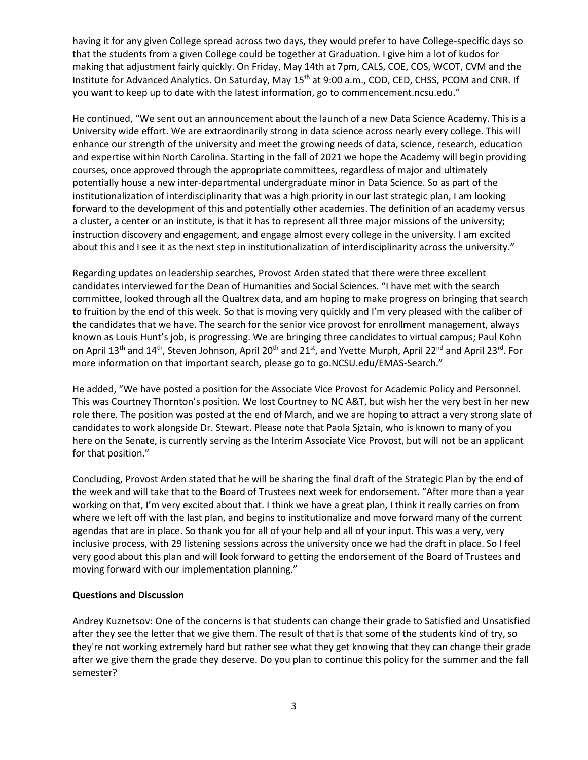having it for any given College spread across two days, they would prefer to have College-specific days so that the students from a given College could be together at Graduation. I give him a lot of kudos for making that adjustment fairly quickly. On Friday, May 14th at 7pm, CALS, COE, COS, WCOT, CVM and the Institute for Advanced Analytics. On Saturday, May 15<sup>th</sup> at 9:00 a.m., COD, CED, CHSS, PCOM and CNR. If you want to keep up to date with the latest information, go to commencement.ncsu.edu."

He continued, "We sent out an announcement about the launch of a new Data Science Academy. This is a University wide effort. We are extraordinarily strong in data science across nearly every college. This will enhance our strength of the university and meet the growing needs of data, science, research, education and expertise within North Carolina. Starting in the fall of 2021 we hope the Academy will begin providing courses, once approved through the appropriate committees, regardless of major and ultimately potentially house a new inter-departmental undergraduate minor in Data Science. So as part of the institutionalization of interdisciplinarity that was a high priority in our last strategic plan, I am looking forward to the development of this and potentially other academies. The definition of an academy versus a cluster, a center or an institute, is that it has to represent all three major missions of the university; instruction discovery and engagement, and engage almost every college in the university. I am excited about this and I see it as the next step in institutionalization of interdisciplinarity across the university."

Regarding updates on leadership searches, Provost Arden stated that there were three excellent candidates interviewed for the Dean of Humanities and Social Sciences. "I have met with the search committee, looked through all the Qualtrex data, and am hoping to make progress on bringing that search to fruition by the end of this week. So that is moving very quickly and I'm very pleased with the caliber of the candidates that we have. The search for the senior vice provost for enrollment management, always known as Louis Hunt's job, is progressing. We are bringing three candidates to virtual campus; Paul Kohn on April 13<sup>th</sup> and 14<sup>th</sup>, Steven Johnson, April 20<sup>th</sup> and 21<sup>st</sup>, and Yvette Murph, April 22<sup>nd</sup> and April 23<sup>rd</sup>. For more information on that important search, please go to go.NCSU.edu/EMAS-Search."

He added, "We have posted a position for the Associate Vice Provost for Academic Policy and Personnel. This was Courtney Thornton's position. We lost Courtney to NC A&T, but wish her the very best in her new role there. The position was posted at the end of March, and we are hoping to attract a very strong slate of candidates to work alongside Dr. Stewart. Please note that Paola Sjztain, who is known to many of you here on the Senate, is currently serving as the Interim Associate Vice Provost, but will not be an applicant for that position."

Concluding, Provost Arden stated that he will be sharing the final draft of the Strategic Plan by the end of the week and will take that to the Board of Trustees next week for endorsement. "After more than a year working on that, I'm very excited about that. I think we have a great plan, I think it really carries on from where we left off with the last plan, and begins to institutionalize and move forward many of the current agendas that are in place. So thank you for all of your help and all of your input. This was a very, very inclusive process, with 29 listening sessions across the university once we had the draft in place. So I feel very good about this plan and will look forward to getting the endorsement of the Board of Trustees and moving forward with our implementation planning."

### **Questions and Discussion**

Andrey Kuznetsov: One of the concerns is that students can change their grade to Satisfied and Unsatisfied after they see the letter that we give them. The result of that is that some of the students kind of try, so they're not working extremely hard but rather see what they get knowing that they can change their grade after we give them the grade they deserve. Do you plan to continue this policy for the summer and the fall semester?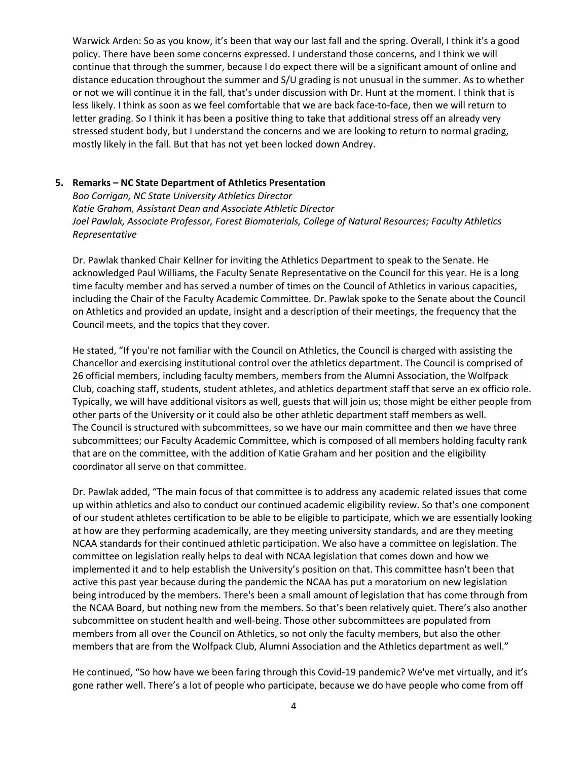Warwick Arden: So as you know, it's been that way our last fall and the spring. Overall, I think it's a good policy. There have been some concerns expressed. I understand those concerns, and I think we will continue that through the summer, because I do expect there will be a significant amount of online and distance education throughout the summer and S/U grading is not unusual in the summer. As to whether or not we will continue it in the fall, that's under discussion with Dr. Hunt at the moment. I think that is less likely. I think as soon as we feel comfortable that we are back face-to-face, then we will return to letter grading. So I think it has been a positive thing to take that additional stress off an already very stressed student body, but I understand the concerns and we are looking to return to normal grading, mostly likely in the fall. But that has not yet been locked down Andrey.

#### **5. Remarks – NC State Department of Athletics Presentation**

*Boo Corrigan, NC State University Athletics Director Katie Graham, Assistant Dean and Associate Athletic Director Joel Pawlak, Associate Professor, Forest Biomaterials, College of Natural Resources; Faculty Athletics Representative*

Dr. Pawlak thanked Chair Kellner for inviting the Athletics Department to speak to the Senate. He acknowledged Paul Williams, the Faculty Senate Representative on the Council for this year. He is a long time faculty member and has served a number of times on the Council of Athletics in various capacities, including the Chair of the Faculty Academic Committee. Dr. Pawlak spoke to the Senate about the Council on Athletics and provided an update, insight and a description of their meetings, the frequency that the Council meets, and the topics that they cover.

He stated, "If you're not familiar with the Council on Athletics, the Council is charged with assisting the Chancellor and exercising institutional control over the athletics department. The Council is comprised of 26 official members, including faculty members, members from the Alumni Association, the Wolfpack Club, coaching staff, students, student athletes, and athletics department staff that serve an ex officio role. Typically, we will have additional visitors as well, guests that will join us; those might be either people from other parts of the University or it could also be other athletic department staff members as well. The Council is structured with subcommittees, so we have our main committee and then we have three subcommittees; our Faculty Academic Committee, which is composed of all members holding faculty rank that are on the committee, with the addition of Katie Graham and her position and the eligibility coordinator all serve on that committee.

Dr. Pawlak added, "The main focus of that committee is to address any academic related issues that come up within athletics and also to conduct our continued academic eligibility review. So that's one component of our student athletes certification to be able to be eligible to participate, which we are essentially looking at how are they performing academically, are they meeting university standards, and are they meeting NCAA standards for their continued athletic participation. We also have a committee on legislation. The committee on legislation really helps to deal with NCAA legislation that comes down and how we implemented it and to help establish the University's position on that. This committee hasn't been that active this past year because during the pandemic the NCAA has put a moratorium on new legislation being introduced by the members. There's been a small amount of legislation that has come through from the NCAA Board, but nothing new from the members. So that's been relatively quiet. There's also another subcommittee on student health and well-being. Those other subcommittees are populated from members from all over the Council on Athletics, so not only the faculty members, but also the other members that are from the Wolfpack Club, Alumni Association and the Athletics department as well."

He continued, "So how have we been faring through this Covid-19 pandemic? We've met virtually, and it's gone rather well. There's a lot of people who participate, because we do have people who come from off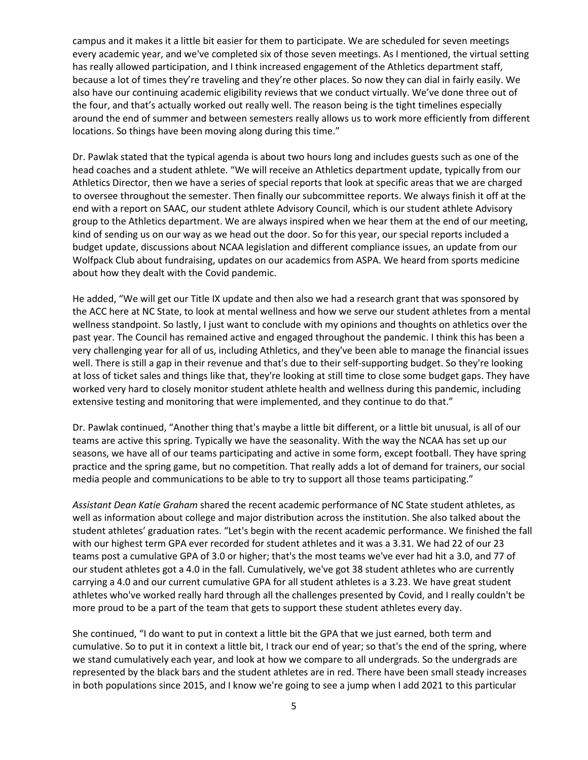campus and it makes it a little bit easier for them to participate. We are scheduled for seven meetings every academic year, and we've completed six of those seven meetings. As I mentioned, the virtual setting has really allowed participation, and I think increased engagement of the Athletics department staff, because a lot of times they're traveling and they're other places. So now they can dial in fairly easily. We also have our continuing academic eligibility reviews that we conduct virtually. We've done three out of the four, and that's actually worked out really well. The reason being is the tight timelines especially around the end of summer and between semesters really allows us to work more efficiently from different locations. So things have been moving along during this time."

Dr. Pawlak stated that the typical agenda is about two hours long and includes guests such as one of the head coaches and a student athlete. "We will receive an Athletics department update, typically from our Athletics Director, then we have a series of special reports that look at specific areas that we are charged to oversee throughout the semester. Then finally our subcommittee reports. We always finish it off at the end with a report on SAAC, our student athlete Advisory Council, which is our student athlete Advisory group to the Athletics department. We are always inspired when we hear them at the end of our meeting, kind of sending us on our way as we head out the door. So for this year, our special reports included a budget update, discussions about NCAA legislation and different compliance issues, an update from our Wolfpack Club about fundraising, updates on our academics from ASPA. We heard from sports medicine about how they dealt with the Covid pandemic.

He added, "We will get our Title IX update and then also we had a research grant that was sponsored by the ACC here at NC State, to look at mental wellness and how we serve our student athletes from a mental wellness standpoint. So lastly, I just want to conclude with my opinions and thoughts on athletics over the past year. The Council has remained active and engaged throughout the pandemic. I think this has been a very challenging year for all of us, including Athletics, and they've been able to manage the financial issues well. There is still a gap in their revenue and that's due to their self-supporting budget. So they're looking at loss of ticket sales and things like that, they're looking at still time to close some budget gaps. They have worked very hard to closely monitor student athlete health and wellness during this pandemic, including extensive testing and monitoring that were implemented, and they continue to do that."

Dr. Pawlak continued, "Another thing that's maybe a little bit different, or a little bit unusual, is all of our teams are active this spring. Typically we have the seasonality. With the way the NCAA has set up our seasons, we have all of our teams participating and active in some form, except football. They have spring practice and the spring game, but no competition. That really adds a lot of demand for trainers, our social media people and communications to be able to try to support all those teams participating."

*Assistant Dean Katie Graham* shared the recent academic performance of NC State student athletes, as well as information about college and major distribution across the institution. She also talked about the student athletes' graduation rates. "Let's begin with the recent academic performance. We finished the fall with our highest term GPA ever recorded for student athletes and it was a 3.31. We had 22 of our 23 teams post a cumulative GPA of 3.0 or higher; that's the most teams we've ever had hit a 3.0, and 77 of our student athletes got a 4.0 in the fall. Cumulatively, we've got 38 student athletes who are currently carrying a 4.0 and our current cumulative GPA for all student athletes is a 3.23. We have great student athletes who've worked really hard through all the challenges presented by Covid, and I really couldn't be more proud to be a part of the team that gets to support these student athletes every day.

She continued, "I do want to put in context a little bit the GPA that we just earned, both term and cumulative. So to put it in context a little bit, I track our end of year; so that's the end of the spring, where we stand cumulatively each year, and look at how we compare to all undergrads. So the undergrads are represented by the black bars and the student athletes are in red. There have been small steady increases in both populations since 2015, and I know we're going to see a jump when I add 2021 to this particular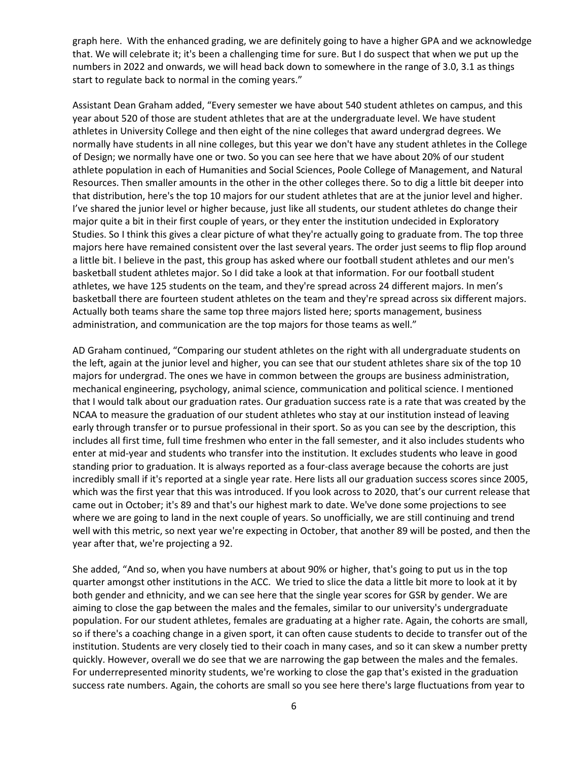graph here. With the enhanced grading, we are definitely going to have a higher GPA and we acknowledge that. We will celebrate it; it's been a challenging time for sure. But I do suspect that when we put up the numbers in 2022 and onwards, we will head back down to somewhere in the range of 3.0, 3.1 as things start to regulate back to normal in the coming years."

Assistant Dean Graham added, "Every semester we have about 540 student athletes on campus, and this year about 520 of those are student athletes that are at the undergraduate level. We have student athletes in University College and then eight of the nine colleges that award undergrad degrees. We normally have students in all nine colleges, but this year we don't have any student athletes in the College of Design; we normally have one or two. So you can see here that we have about 20% of our student athlete population in each of Humanities and Social Sciences, Poole College of Management, and Natural Resources. Then smaller amounts in the other in the other colleges there. So to dig a little bit deeper into that distribution, here's the top 10 majors for our student athletes that are at the junior level and higher. I've shared the junior level or higher because, just like all students, our student athletes do change their major quite a bit in their first couple of years, or they enter the institution undecided in Exploratory Studies. So I think this gives a clear picture of what they're actually going to graduate from. The top three majors here have remained consistent over the last several years. The order just seems to flip flop around a little bit. I believe in the past, this group has asked where our football student athletes and our men's basketball student athletes major. So I did take a look at that information. For our football student athletes, we have 125 students on the team, and they're spread across 24 different majors. In men's basketball there are fourteen student athletes on the team and they're spread across six different majors. Actually both teams share the same top three majors listed here; sports management, business administration, and communication are the top majors for those teams as well."

AD Graham continued, "Comparing our student athletes on the right with all undergraduate students on the left, again at the junior level and higher, you can see that our student athletes share six of the top 10 majors for undergrad. The ones we have in common between the groups are business administration, mechanical engineering, psychology, animal science, communication and political science. I mentioned that I would talk about our graduation rates. Our graduation success rate is a rate that was created by the NCAA to measure the graduation of our student athletes who stay at our institution instead of leaving early through transfer or to pursue professional in their sport. So as you can see by the description, this includes all first time, full time freshmen who enter in the fall semester, and it also includes students who enter at mid-year and students who transfer into the institution. It excludes students who leave in good standing prior to graduation. It is always reported as a four-class average because the cohorts are just incredibly small if it's reported at a single year rate. Here lists all our graduation success scores since 2005, which was the first year that this was introduced. If you look across to 2020, that's our current release that came out in October; it's 89 and that's our highest mark to date. We've done some projections to see where we are going to land in the next couple of years. So unofficially, we are still continuing and trend well with this metric, so next year we're expecting in October, that another 89 will be posted, and then the year after that, we're projecting a 92.

She added, "And so, when you have numbers at about 90% or higher, that's going to put us in the top quarter amongst other institutions in the ACC. We tried to slice the data a little bit more to look at it by both gender and ethnicity, and we can see here that the single year scores for GSR by gender. We are aiming to close the gap between the males and the females, similar to our university's undergraduate population. For our student athletes, females are graduating at a higher rate. Again, the cohorts are small, so if there's a coaching change in a given sport, it can often cause students to decide to transfer out of the institution. Students are very closely tied to their coach in many cases, and so it can skew a number pretty quickly. However, overall we do see that we are narrowing the gap between the males and the females. For underrepresented minority students, we're working to close the gap that's existed in the graduation success rate numbers. Again, the cohorts are small so you see here there's large fluctuations from year to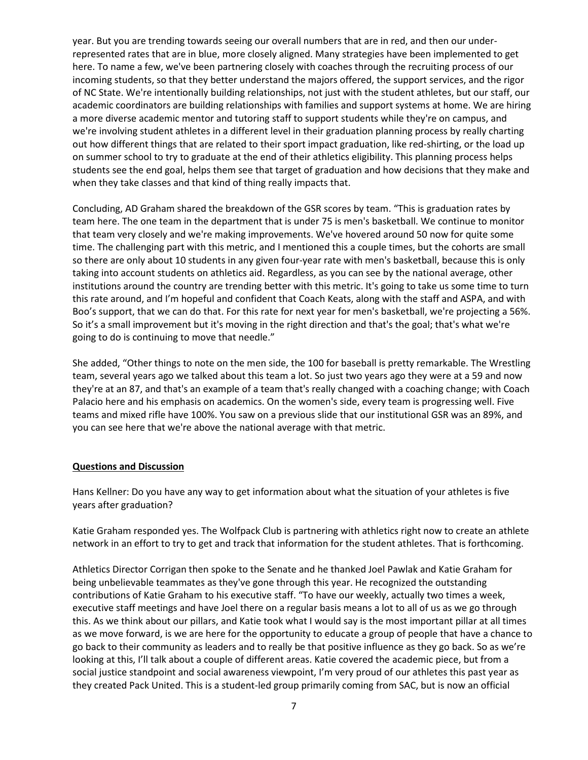year. But you are trending towards seeing our overall numbers that are in red, and then our underrepresented rates that are in blue, more closely aligned. Many strategies have been implemented to get here. To name a few, we've been partnering closely with coaches through the recruiting process of our incoming students, so that they better understand the majors offered, the support services, and the rigor of NC State. We're intentionally building relationships, not just with the student athletes, but our staff, our academic coordinators are building relationships with families and support systems at home. We are hiring a more diverse academic mentor and tutoring staff to support students while they're on campus, and we're involving student athletes in a different level in their graduation planning process by really charting out how different things that are related to their sport impact graduation, like red-shirting, or the load up on summer school to try to graduate at the end of their athletics eligibility. This planning process helps students see the end goal, helps them see that target of graduation and how decisions that they make and when they take classes and that kind of thing really impacts that.

Concluding, AD Graham shared the breakdown of the GSR scores by team. "This is graduation rates by team here. The one team in the department that is under 75 is men's basketball. We continue to monitor that team very closely and we're making improvements. We've hovered around 50 now for quite some time. The challenging part with this metric, and I mentioned this a couple times, but the cohorts are small so there are only about 10 students in any given four-year rate with men's basketball, because this is only taking into account students on athletics aid. Regardless, as you can see by the national average, other institutions around the country are trending better with this metric. It's going to take us some time to turn this rate around, and I'm hopeful and confident that Coach Keats, along with the staff and ASPA, and with Boo's support, that we can do that. For this rate for next year for men's basketball, we're projecting a 56%. So it's a small improvement but it's moving in the right direction and that's the goal; that's what we're going to do is continuing to move that needle."

She added, "Other things to note on the men side, the 100 for baseball is pretty remarkable. The Wrestling team, several years ago we talked about this team a lot. So just two years ago they were at a 59 and now they're at an 87, and that's an example of a team that's really changed with a coaching change; with Coach Palacio here and his emphasis on academics. On the women's side, every team is progressing well. Five teams and mixed rifle have 100%. You saw on a previous slide that our institutional GSR was an 89%, and you can see here that we're above the national average with that metric.

### **Questions and Discussion**

Hans Kellner: Do you have any way to get information about what the situation of your athletes is five years after graduation?

Katie Graham responded yes. The Wolfpack Club is partnering with athletics right now to create an athlete network in an effort to try to get and track that information for the student athletes. That is forthcoming.

Athletics Director Corrigan then spoke to the Senate and he thanked Joel Pawlak and Katie Graham for being unbelievable teammates as they've gone through this year. He recognized the outstanding contributions of Katie Graham to his executive staff. "To have our weekly, actually two times a week, executive staff meetings and have Joel there on a regular basis means a lot to all of us as we go through this. As we think about our pillars, and Katie took what I would say is the most important pillar at all times as we move forward, is we are here for the opportunity to educate a group of people that have a chance to go back to their community as leaders and to really be that positive influence as they go back. So as we're looking at this, I'll talk about a couple of different areas. Katie covered the academic piece, but from a social justice standpoint and social awareness viewpoint, I'm very proud of our athletes this past year as they created Pack United. This is a student-led group primarily coming from SAC, but is now an official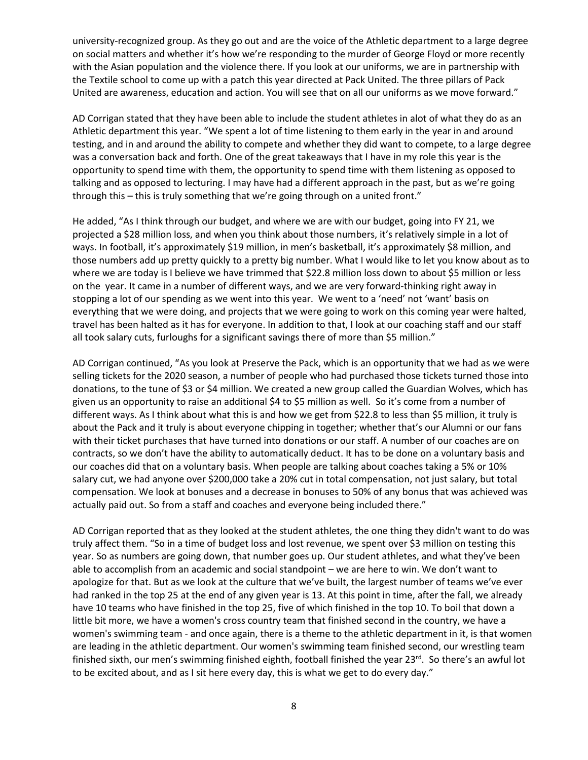university-recognized group. As they go out and are the voice of the Athletic department to a large degree on social matters and whether it's how we're responding to the murder of George Floyd or more recently with the Asian population and the violence there. If you look at our uniforms, we are in partnership with the Textile school to come up with a patch this year directed at Pack United. The three pillars of Pack United are awareness, education and action. You will see that on all our uniforms as we move forward."

AD Corrigan stated that they have been able to include the student athletes in alot of what they do as an Athletic department this year. "We spent a lot of time listening to them early in the year in and around testing, and in and around the ability to compete and whether they did want to compete, to a large degree was a conversation back and forth. One of the great takeaways that I have in my role this year is the opportunity to spend time with them, the opportunity to spend time with them listening as opposed to talking and as opposed to lecturing. I may have had a different approach in the past, but as we're going through this – this is truly something that we're going through on a united front."

He added, "As I think through our budget, and where we are with our budget, going into FY 21, we projected a \$28 million loss, and when you think about those numbers, it's relatively simple in a lot of ways. In football, it's approximately \$19 million, in men's basketball, it's approximately \$8 million, and those numbers add up pretty quickly to a pretty big number. What I would like to let you know about as to where we are today is I believe we have trimmed that \$22.8 million loss down to about \$5 million or less on the year. It came in a number of different ways, and we are very forward-thinking right away in stopping a lot of our spending as we went into this year. We went to a 'need' not 'want' basis on everything that we were doing, and projects that we were going to work on this coming year were halted, travel has been halted as it has for everyone. In addition to that, I look at our coaching staff and our staff all took salary cuts, furloughs for a significant savings there of more than \$5 million."

AD Corrigan continued, "As you look at Preserve the Pack, which is an opportunity that we had as we were selling tickets for the 2020 season, a number of people who had purchased those tickets turned those into donations, to the tune of \$3 or \$4 million. We created a new group called the Guardian Wolves, which has given us an opportunity to raise an additional \$4 to \$5 million as well. So it's come from a number of different ways. As I think about what this is and how we get from \$22.8 to less than \$5 million, it truly is about the Pack and it truly is about everyone chipping in together; whether that's our Alumni or our fans with their ticket purchases that have turned into donations or our staff. A number of our coaches are on contracts, so we don't have the ability to automatically deduct. It has to be done on a voluntary basis and our coaches did that on a voluntary basis. When people are talking about coaches taking a 5% or 10% salary cut, we had anyone over \$200,000 take a 20% cut in total compensation, not just salary, but total compensation. We look at bonuses and a decrease in bonuses to 50% of any bonus that was achieved was actually paid out. So from a staff and coaches and everyone being included there."

AD Corrigan reported that as they looked at the student athletes, the one thing they didn't want to do was truly affect them. "So in a time of budget loss and lost revenue, we spent over \$3 million on testing this year. So as numbers are going down, that number goes up. Our student athletes, and what they've been able to accomplish from an academic and social standpoint – we are here to win. We don't want to apologize for that. But as we look at the culture that we've built, the largest number of teams we've ever had ranked in the top 25 at the end of any given year is 13. At this point in time, after the fall, we already have 10 teams who have finished in the top 25, five of which finished in the top 10. To boil that down a little bit more, we have a women's cross country team that finished second in the country, we have a women's swimming team - and once again, there is a theme to the athletic department in it, is that women are leading in the athletic department. Our women's swimming team finished second, our wrestling team finished sixth, our men's swimming finished eighth, football finished the year 23<sup>rd</sup>. So there's an awful lot to be excited about, and as I sit here every day, this is what we get to do every day."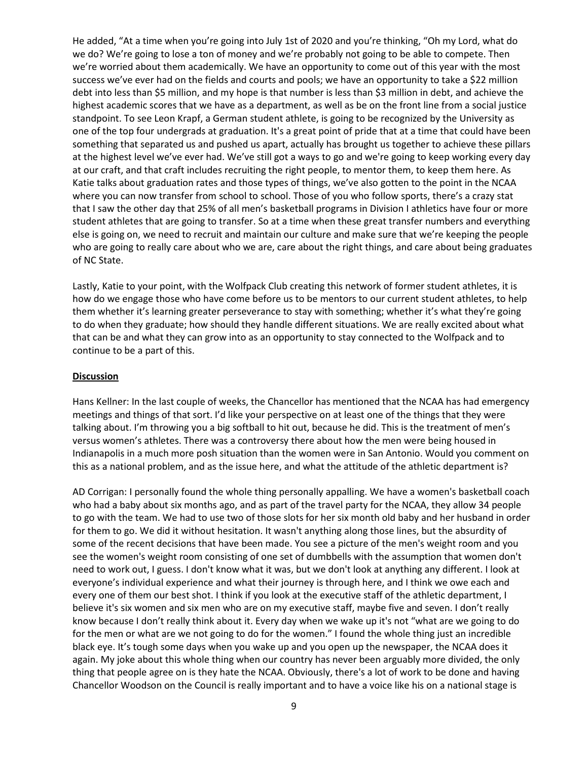He added, "At a time when you're going into July 1st of 2020 and you're thinking, "Oh my Lord, what do we do? We're going to lose a ton of money and we're probably not going to be able to compete. Then we're worried about them academically. We have an opportunity to come out of this year with the most success we've ever had on the fields and courts and pools; we have an opportunity to take a \$22 million debt into less than \$5 million, and my hope is that number is less than \$3 million in debt, and achieve the highest academic scores that we have as a department, as well as be on the front line from a social justice standpoint. To see Leon Krapf, a German student athlete, is going to be recognized by the University as one of the top four undergrads at graduation. It's a great point of pride that at a time that could have been something that separated us and pushed us apart, actually has brought us together to achieve these pillars at the highest level we've ever had. We've still got a ways to go and we're going to keep working every day at our craft, and that craft includes recruiting the right people, to mentor them, to keep them here. As Katie talks about graduation rates and those types of things, we've also gotten to the point in the NCAA where you can now transfer from school to school. Those of you who follow sports, there's a crazy stat that I saw the other day that 25% of all men's basketball programs in Division I athletics have four or more student athletes that are going to transfer. So at a time when these great transfer numbers and everything else is going on, we need to recruit and maintain our culture and make sure that we're keeping the people who are going to really care about who we are, care about the right things, and care about being graduates of NC State.

Lastly, Katie to your point, with the Wolfpack Club creating this network of former student athletes, it is how do we engage those who have come before us to be mentors to our current student athletes, to help them whether it's learning greater perseverance to stay with something; whether it's what they're going to do when they graduate; how should they handle different situations. We are really excited about what that can be and what they can grow into as an opportunity to stay connected to the Wolfpack and to continue to be a part of this.

#### **Discussion**

Hans Kellner: In the last couple of weeks, the Chancellor has mentioned that the NCAA has had emergency meetings and things of that sort. I'd like your perspective on at least one of the things that they were talking about. I'm throwing you a big softball to hit out, because he did. This is the treatment of men's versus women's athletes. There was a controversy there about how the men were being housed in Indianapolis in a much more posh situation than the women were in San Antonio. Would you comment on this as a national problem, and as the issue here, and what the attitude of the athletic department is?

AD Corrigan: I personally found the whole thing personally appalling. We have a women's basketball coach who had a baby about six months ago, and as part of the travel party for the NCAA, they allow 34 people to go with the team. We had to use two of those slots for her six month old baby and her husband in order for them to go. We did it without hesitation. It wasn't anything along those lines, but the absurdity of some of the recent decisions that have been made. You see a picture of the men's weight room and you see the women's weight room consisting of one set of dumbbells with the assumption that women don't need to work out, I guess. I don't know what it was, but we don't look at anything any different. I look at everyone's individual experience and what their journey is through here, and I think we owe each and every one of them our best shot. I think if you look at the executive staff of the athletic department, I believe it's six women and six men who are on my executive staff, maybe five and seven. I don't really know because I don't really think about it. Every day when we wake up it's not "what are we going to do for the men or what are we not going to do for the women." I found the whole thing just an incredible black eye. It's tough some days when you wake up and you open up the newspaper, the NCAA does it again. My joke about this whole thing when our country has never been arguably more divided, the only thing that people agree on is they hate the NCAA. Obviously, there's a lot of work to be done and having Chancellor Woodson on the Council is really important and to have a voice like his on a national stage is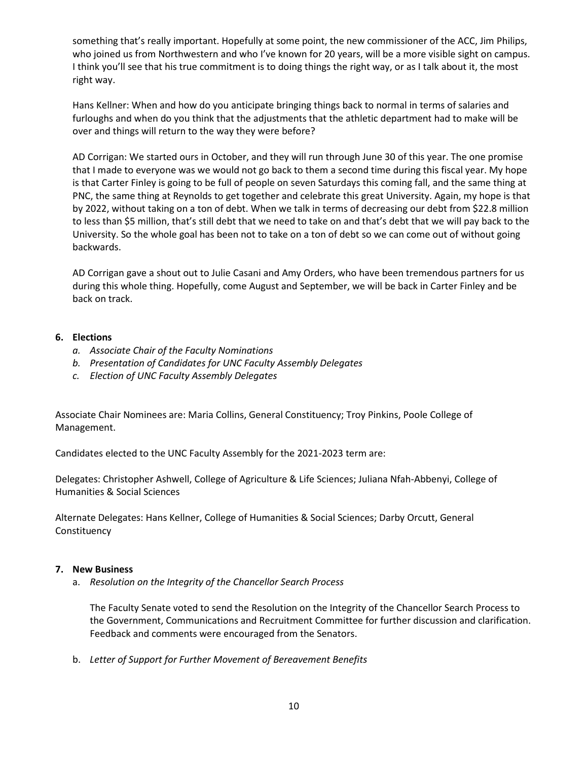something that's really important. Hopefully at some point, the new commissioner of the ACC, Jim Philips, who joined us from Northwestern and who I've known for 20 years, will be a more visible sight on campus. I think you'll see that his true commitment is to doing things the right way, or as I talk about it, the most right way.

Hans Kellner: When and how do you anticipate bringing things back to normal in terms of salaries and furloughs and when do you think that the adjustments that the athletic department had to make will be over and things will return to the way they were before?

AD Corrigan: We started ours in October, and they will run through June 30 of this year. The one promise that I made to everyone was we would not go back to them a second time during this fiscal year. My hope is that Carter Finley is going to be full of people on seven Saturdays this coming fall, and the same thing at PNC, the same thing at Reynolds to get together and celebrate this great University. Again, my hope is that by 2022, without taking on a ton of debt. When we talk in terms of decreasing our debt from \$22.8 million to less than \$5 million, that's still debt that we need to take on and that's debt that we will pay back to the University. So the whole goal has been not to take on a ton of debt so we can come out of without going backwards.

AD Corrigan gave a shout out to Julie Casani and Amy Orders, who have been tremendous partners for us during this whole thing. Hopefully, come August and September, we will be back in Carter Finley and be back on track.

### **6. Elections**

- *a. Associate Chair of the Faculty Nominations*
- *b. Presentation of Candidates for UNC Faculty Assembly Delegates*
- *c. Election of UNC Faculty Assembly Delegates*

Associate Chair Nominees are: Maria Collins, General Constituency; Troy Pinkins, Poole College of Management.

Candidates elected to the UNC Faculty Assembly for the 2021-2023 term are:

Delegates: Christopher Ashwell, College of Agriculture & Life Sciences; Juliana Nfah-Abbenyi, College of Humanities & Social Sciences

Alternate Delegates: Hans Kellner, College of Humanities & Social Sciences; Darby Orcutt, General Constituency

### **7. New Business**

a. *Resolution on the Integrity of the Chancellor Search Process* 

The Faculty Senate voted to send the Resolution on the Integrity of the Chancellor Search Process to the Government, Communications and Recruitment Committee for further discussion and clarification. Feedback and comments were encouraged from the Senators.

b. *Letter of Support for Further Movement of Bereavement Benefits*